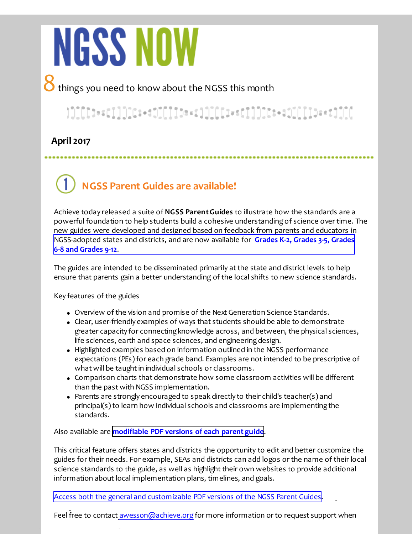# **NGSS NOW**

8 things you need to know about the NGSS this month

## }]][[]t==c]]]][c:-dJ[[[]]b=<1]][[[I==c]]]][c:-i([[[[]b=+t]][[

.....................

### **April 2017**

**NGSS Parent Guides are available!**

Achieve today released a suite of **NGSS Parent Guides** to illustrate how the standards are a powerful foundation to help students build a cohesive understanding of science over time. The new guides were developed and designed based on feedback from parents and educators in [N](https://www.nextgenscience.org/parentguides)[GSS-adopted states and districts, and are now available for](http://r20.rs6.net/tn.jsp?f=001F8BdNn6Vv9HnzPYCAGm8vJh2LBqEtKfQnIq4i4F2XW6zc8X7bojMqN53TZipbH4Rinb33Nz0pOwb27Bimm3nExj5giHOrJKa1WC-pnOKwxjv5pdqmVOJtRsqbsFYMrPQGtNPhGlPjddtyufkl5AdXdrtemY_AKvAhErYxBake89C0Pjxf9DsOYRi8g67mzCqCBZrXGP7ImykLww3GwCJQEMeAkdTXjPsm6u3cpC0erSbgGbMSA3O19DcAk0kNsO98kKOnJjuSxgO3kmr16mgxfJkybPAgZyP&c=&ch=) **Grades K-2, Grades 3-5, Grades 6-8 and Grades 9-12**.

The guides are intended to be disseminated primarily at the state and district levels to help ensure that parents gain a better understanding of the local shifts to new science standards.

#### Key features of the guides

- Overview of the vision and promise of the Next Generation Science Standards.
- Clear, user-friendly examples of ways that students should be able to demonstrate greater capacity for connecting knowledge across, and between, the physical sciences, life sciences, earth and space sciences, and engineering design.
- Highlighted examples based on information outlined in the NGSS performance expectations (PEs) for each grade band. Examples are not intended to be prescriptive of what will be taught in individual schools or classrooms.
- Comparison charts that demonstrate how some classroom activities will be different than the past with NGSS implementation.
- Parents are strongly encouraged to speak directly to their child's teacher(s) and principal(s) to learn how individual schools and classrooms are implementing the standards.

Also available are **[modifiable PDF versions of each parent guide](https://www.nextgenscience.org/parentguides)**.

This critical feature offers states and districts the opportunity to edit and better customize the guides for their needs. For example, SEAs and districts can add logos or the name of their local science standards to the guide, as well as highlight their own websites to provide additional information about local implementation plans, timelines, and goals.

A[ccess both the general and customizable PDF versions of the NGSS Parent Guides](http://r20.rs6.net/tn.jsp?f=001F8BdNn6Vv9HnzPYCAGm8vJh2LBqEtKfQnIq4i4F2XW6zc8X7bojMqN53TZipbH4RBgPqbMMj68LjeNnAbOBUwf28h5P3LrZTyviEDr_2OVMRGeeNXdhDwfGlmHN2-FHnRVKC2bUnrFLslLWESRIMTQADbsctdzt4yle1yEOR3Y2I9E-zksLtykpn_tSnNEBJb3o2UvzVN8U=&c=&ch=).

Feel free to contact [awesson@achieve.org](mailto:awesson@achieve.org) for more information or to request support when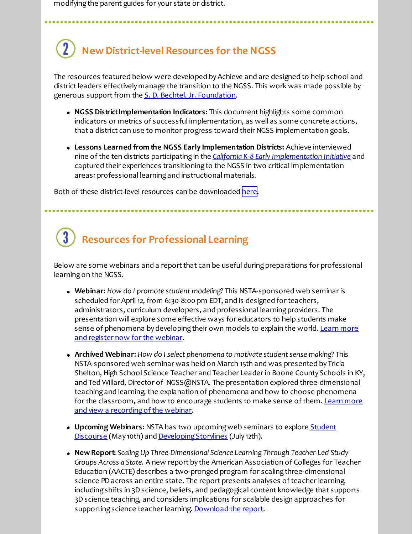modifying the parent guides for your state or district.

## **New District-level Resources for the NGSS**

The resources featured below were developed by Achieve and are designed to help school and district leaders effectively manage the transition to the NGSS. This work was made possible by generous support from the *S. D. Bechtel, Jr. Foundation*.

- **NGSS District Implementation Indicators:** This document highlights some common indicators or metrics of successful implementation, as well as some concrete actions, that a district can use to monitor progress toward their NGSS implementation goals.
- **Lessons Learned from the NGSS Early Implementation Districts:** Achieve interviewed nine of the ten districts participating in the *[California K-8 Early Implementation Initiative](http://r20.rs6.net/tn.jsp?f=001F8BdNn6Vv9HnzPYCAGm8vJh2LBqEtKfQnIq4i4F2XW6zc8X7bojMqCNP5_8MzKxP2iwIBOq-952VVnU-nwgTlVDVipM99xgdcfDu_-AL1S5Jrjt00obYIABXhpAL7EXSKCcyGQMdQcIVs8vSE3XWM4IwzNwewG-7_Kh92KEOCxbWKBnBfMZqKHRyG8lizwnt&c=&ch=)* and captured their experiences transitioning to the NGSS in two critical implementation areas: professional learning and instructional materials.

Both of these district-level resources can be downloaded [here](https://www.nextgenscience.org/districtresources).

# **Resources for Professional Learning**

Below are some webinars and a report that can be useful during preparations for professional learning on the NGSS.

- **Webinar:** *How do I promote student modeling?* This NSTA-sponsored web seminar is scheduled for April 12, from 6:30-8:00 pm EDT, and is designed for teachers, administrators, curriculum developers, and professional learning providers. The presentation will explore some effective ways for educators to help students make [sense of phenomena by developing their own models to explain the world. Learn more](http://r20.rs6.net/tn.jsp?f=001F8BdNn6Vv9HnzPYCAGm8vJh2LBqEtKfQnIq4i4F2XW6zc8X7bojMqN53TZipbH4RCmtRyD6uUwbRRZeCQ5nEJoKMw38m6vEjg0Yl6Ps4Cp8726BMkafDKAzgDwILFuJpMelQw94NSIPOqgTQxaUsteqS42WuThgHdc13zHXC8OMSYUTfv9WA8L6zyamxbT_X55DlZ8fG9W8uY8ckll2ahxWAa12cHpuazkb1SMNFhgF0ZhKCV0PQ4NQfrkUUeNx7&c=&ch=) and register now for the webinar.
- **Archived Webinar:** *How do I select phenomena to motivate student sense making?* This NSTA-sponsored web seminar was held on March 15th and was presented by Tricia Shelton, High School Science Teacher and Teacher Leader in Boone County Schools in KY, and Ted Willard, Director of NGSS@NSTA. The presentation explored three-dimensional teaching and learning, the explanation of phenomena and how to choose phenomena [for the classroom, and how to encourage students to make sense of them. Learn more](http://r20.rs6.net/tn.jsp?f=001F8BdNn6Vv9HnzPYCAGm8vJh2LBqEtKfQnIq4i4F2XW6zc8X7bojMqCNP5_8MzKxPi2cdJ3ecfm5fSo0rvQ0kwd3wLB8cppiIkCW59rkAjjDjVpwgNLOLSZr5oytPg3VVkxl27_3BMAu3ZKb8LL3Rwsnq-VGtSnaLIlFQaMS31u-OmlXQ-vccUr9CW-HES7vX0UkRweF6_vHjCot35_FYfxIh-b9T0ELF0s8t6ARgMgoBQw1exyOXE1T5Cj_HNa4i&c=&ch=) and view a recording of the webinar.
- **Upcoming Webinars:** [NSTA has two upcoming web seminars to explore Student](http://r20.rs6.net/tn.jsp?f=001F8BdNn6Vv9HnzPYCAGm8vJh2LBqEtKfQnIq4i4F2XW6zc8X7bojMqN53TZipbH4RaJ7EaT8Ji1Lb4ZJ0hEDTxHqkr8aQ9TnDNFv9DCX3IKJqaRC7P-00iivjd4T-E0_Q8bGSu8GogFwhLMzDBvwZ-FP7JQjQY3wYMfinEc64tFpweXdVcRQ1673HMHMeeQq1ZabwxSUawsmPMbOVXsQf5HfuyI_hWk3_gfgni1yyvDiIbfMdUZR6RNluau8G_XWE&c=&ch=) Discourse (May 10th) and [Developing Storylines](http://r20.rs6.net/tn.jsp?f=001F8BdNn6Vv9HnzPYCAGm8vJh2LBqEtKfQnIq4i4F2XW6zc8X7bojMqN53TZipbH4RjS1xR7mcBSantvonLT20c0VUUhjB8cDkKwnpy2qoecndrYXidT1YdOJ_DE9hU8_y5MH0R5WasU3emJtrSC8LJgZZsKTdFKo8ADcYDzEMUmtg3ZgQc_Ce_nLbvdMWZTup4OY2Ib3L91brFTj-1QU1ocs5CpxLldX2nICCzswxeFdN0azMlQIqQiVlL2-akqRg&c=&ch=) (July 12th).
- **New Report:** *Scaling Up Three-Dimensional Science Learning Through Teacher-Led Study Groups Across a State.* A new report by the American Association of Colleges for Teacher Education (AACTE) describes a two-pronged program for scaling three-dimensional science PD across an entire state. The report presents analyses of teacher learning, including shifts in 3D science, beliefs, and pedagogical content knowledge that supports 3D science teaching, and considers implications for scalable design approaches for supporting science teacher learning. [Download the report](http://r20.rs6.net/tn.jsp?f=001F8BdNn6Vv9HnzPYCAGm8vJh2LBqEtKfQnIq4i4F2XW6zc8X7bojMqCNP5_8MzKxPJEuRdjUgbHUTrDSDJlnT2DrThYFr3Tr0olWsooqQZZgSkWlRrK75-dfG4BPGOPlb4u2RlG8w_2QCbpptvJ1KHgh8YUtJ4BsPyfIJV2p5-7b0uoHlFZyRJB0Jt0rkck2THz5ysY4LQGwWH8tk0nsPGCG4-kQtYAMd0zP-pmlBexs=&c=&ch=).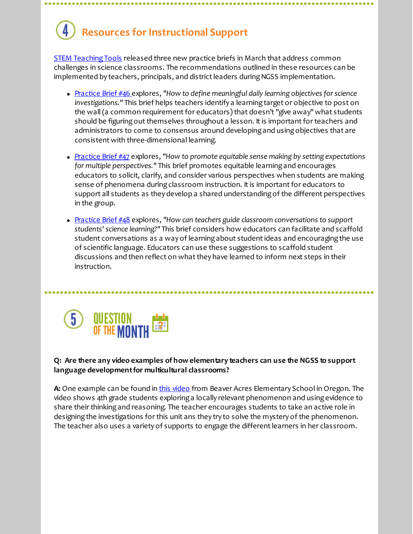# **Resources for Instructional Support**

**[STEM Teaching Tools](http://r20.rs6.net/tn.jsp?f=001F8BdNn6Vv9HnzPYCAGm8vJh2LBqEtKfQnIq4i4F2XW6zc8X7bojMqLUtBMP2VOS4ZuJlDxMC_kqNOTo_35Nmfz5VYyYl_Zm6ECyDzfZlpKWEPqs_TymVBhcXOW71WWTcIyVbG-mIxxATvTvzCGainvswhBp_vof5EsW7yHNaw0uathL8dChcfQ==&c=&ch=) released three new practice briefs in March that address common** challenges in science classrooms. The recommendations outlined in these resources can be implemented by teachers, principals, and district leaders during NGSS implementation.

- [Practice Brief #46](http://r20.rs6.net/tn.jsp?f=001F8BdNn6Vv9HnzPYCAGm8vJh2LBqEtKfQnIq4i4F2XW6zc8X7bojMqN53TZipbH4RIm9If4SUP4uv4ClgKeoijib4WP3uMFMkQRDiXsQqJjCNMNaJVoqgsdpMMKRBMR9U9oJ6XEYuK_-uzU2Ot0af8mmAUrAbJvl6sHXA7P7op4ilzB9Gugw_-SpCBaNaOMxu&c=&ch=) explores, "*How to define meaningful daily learning objectives for science investigations."* This brief helps teachers identify a learning target or objective to post on the wall (a common requirement for educators) that doesn't "give away" what students should be figuring out themselves throughout a lesson. It is important for teachers and administrators to come to consensus around developing and using objectives that are consistent with three-dimensional learning.
- [Practice Brief #47](http://r20.rs6.net/tn.jsp?f=001F8BdNn6Vv9HnzPYCAGm8vJh2LBqEtKfQnIq4i4F2XW6zc8X7bojMqCNP5_8MzKxPEjqeEVBVOqaPuiiPRq37Hy81zTHMzrTOiOejpZhPsA_iubk6dMWGIKaarjCHvOOTO2xBTL50yg9FXy22RaYKE0DWDmbar5Ozis1GWduPqr7edc80IyEnX6VUJB6fl7Wc&c=&ch=) explores, *"How to promote equitable sense making by setting expectations for multiple perspectives."* This brief promotes equitable learning and encourages educators to solicit, clarify, and consider various perspectives when students are making sense of phenomena during classroom instruction. It is important for educators to support all students as they develop a shared understanding of the different perspectives in the group.
- [Practice Brief #48](http://r20.rs6.net/tn.jsp?f=001F8BdNn6Vv9HnzPYCAGm8vJh2LBqEtKfQnIq4i4F2XW6zc8X7bojMqCNP5_8MzKxP4A8TD3CgUMVb1X7FdtaUZRsnY5wi7F4oMcl_K--gfIyYlmfn5aHURu-HWYY857Ol40Uauh3ZKpXVPpBg0edXzvnBN0Ucz9Jr_TJjkeeYvvW7E037fpc9vjUiHE1bFm__&c=&ch=) explores, *"How can teachers guide classroom conversations to support students' science learning?"* This brief considers how educators can facilitate and scaffold student conversations as a way of learning about student ideas and encouraging the use of scientific language. Educators can use these suggestions to scaffold student discussions and then reflect on what they have learned to inform next steps in their instruction.



#### **Q: Are there any video examples of how elementary teachers can use the NGSS to support language development for multicultural classrooms?**

A: One example can be found in [this video](http://r20.rs6.net/tn.jsp?f=001F8BdNn6Vv9HnzPYCAGm8vJh2LBqEtKfQnIq4i4F2XW6zc8X7bojMqCNP5_8MzKxPumMC8v0K1nlJcrnkcxRv46mpuUc1vZQEjx_DoFiubMeF7pTD8JRBRramsd0f7FhBHnzbVmx_9eZyjdubj7Am7RSD59aSyupGcDFZm-ggrN9RrBPjJalKLw==&c=&ch=) from Beaver Acres Elementary School in Oregon. The video shows 4th grade students exploring a locally relevant phenomenon and using evidence to share their thinking and reasoning. The teacher encourages students to take an active role in designing the investigations for this unit ans they try to solve the mystery of the phenomenon. The teacher also uses a variety of supports to engage the different learners in her classroom.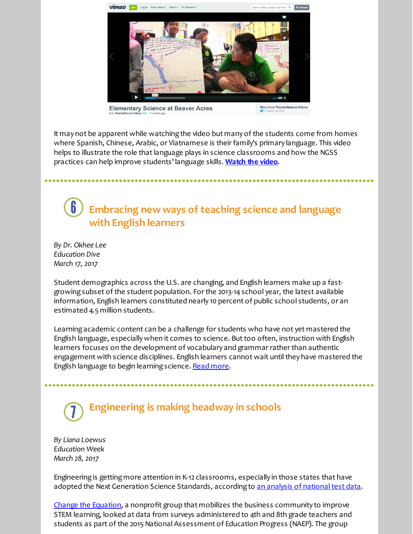

**Elementary Science at Beaver Acres** 

It may not be apparent while watching the video but many of the students come from homes where Spanish, Chinese, Arabic, or Viatnamese is their family's primary language. This video helps to illustrate the role that language plays in science classrooms and how the NGSS practices can help improve students' language skills. **[Watch the video](http://r20.rs6.net/tn.jsp?f=001F8BdNn6Vv9HnzPYCAGm8vJh2LBqEtKfQnIq4i4F2XW6zc8X7bojMqCNP5_8MzKxPumMC8v0K1nlJcrnkcxRv46mpuUc1vZQEjx_DoFiubMeF7pTD8JRBRramsd0f7FhBHnzbVmx_9eZyjdubj7Am7RSD59aSyupGcDFZm-ggrN9RrBPjJalKLw==&c=&ch=)**.

## **Embracing new ways of teaching science and language with English learners**

*By Dr. Okhee Lee Education Dive March 17, 2017*

Student demographics across the U.S. are changing, and English learners make up a fastgrowing subset of the student population. For the 2013-14 school year, the latest available information, English learners constituted nearly 10 percent of public school students, or an estimated 4.5 million students.

Learning academic content can be a challenge for students who have not yet mastered the English language, especially when it comes to science. But too often, instruction with English learners focuses on the development of vocabulary and grammar rather than authentic engagement with science disciplines. English learners cannot wait until they have mastered the English language to begin learning science. [Read more](http://r20.rs6.net/tn.jsp?f=001F8BdNn6Vv9HnzPYCAGm8vJh2LBqEtKfQnIq4i4F2XW6zc8X7bojMqCNP5_8MzKxPVTGihOs83UE-3wXC2eH8o4232XtQn3LRJv3iDjluYIxQl2fJIM5QHjDJGqtVyBwT8N4vbVoeq0gh5oh3OdQf6lI4bASIM-fwcDma9MigQ--AfeOiTAW3aIAXspFnYDDCUvqLm-RrQFD4Pqbg63EzV0sd2hEPm6Bnm6oYpCHJs9K4Vf_n0Xih2nlLFn-eeX130Q3VrsA7pyloCZY2_pXFHuzMZ7uaghfn-X0dteT8_vE=&c=&ch=).

# **Engineering is making headway in schools**

*By Liana Loewus Education Week March 28, 2017*

Engineering is getting more attention in K-12 classrooms, especially in those states that have adopted the Next Generation Science Standards, according to [an analysis of national test data](http://r20.rs6.net/tn.jsp?f=001F8BdNn6Vv9HnzPYCAGm8vJh2LBqEtKfQnIq4i4F2XW6zc8X7bojMqN53TZipbH4RnUmZ7EoVtYkM8TnRrWdXJBUXRo6_LhMBQecZ9cDxpwZXaR3L82fluDAKPXEchQE33gzTfOrOifeNihtFUc_FMatTJTi1qGx1ua5oMYPkFoLsbnfZAgJjcSa4YxTOQ2bT1D0ofmQ43E2ZJzdRpRCPC3H08hGWFbEl&c=&ch=).

[Change the Equation,](http://r20.rs6.net/tn.jsp?f=001F8BdNn6Vv9HnzPYCAGm8vJh2LBqEtKfQnIq4i4F2XW6zc8X7bojMqHOi8G6M6DkopKMBE-nzwl-vOgo2DPajmAazcMlg6nG6QlxtZqdmPmXG4jlgjtrnplc4rLra1mWKMgHWPYFIwh3_P-B4bk2pgwl8LOT1xa9tTh3FR0nPBv57q0tTLoY6Jg==&c=&ch=) a nonprofit group that mobilizes the business community to improve STEM learning, looked at data from surveys administered to 4th and 8th grade teachers and students as part of the 2015 National Assessment of Education Progress (NAEP). The group